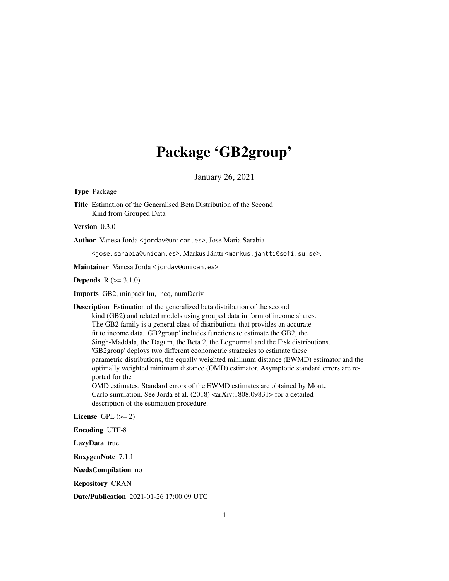# Package 'GB2group'

January 26, 2021

<span id="page-0-0"></span>Type Package

Title Estimation of the Generalised Beta Distribution of the Second Kind from Grouped Data

Version 0.3.0

Author Vanesa Jorda <jordav@unican.es>, Jose Maria Sarabia

<jose.sarabia@unican.es>, Markus Jäntti <markus.jantti@sofi.su.se>.

Maintainer Vanesa Jorda <jordav@unican.es>

**Depends**  $R (= 3.1.0)$ 

Imports GB2, minpack.lm, ineq, numDeriv

Description Estimation of the generalized beta distribution of the second kind (GB2) and related models using grouped data in form of income shares. The GB2 family is a general class of distributions that provides an accurate fit to income data. 'GB2group' includes functions to estimate the GB2, the Singh-Maddala, the Dagum, the Beta 2, the Lognormal and the Fisk distributions. 'GB2group' deploys two different econometric strategies to estimate these parametric distributions, the equally weighted minimum distance (EWMD) estimator and the optimally weighted minimum distance (OMD) estimator. Asymptotic standard errors are reported for the OMD estimates. Standard errors of the EWMD estimates are obtained by Monte Carlo simulation. See Jorda et al. (2018) <arXiv:1808.09831> for a detailed description of the estimation procedure.

License GPL  $(>= 2)$ 

Encoding UTF-8

LazyData true

RoxygenNote 7.1.1

NeedsCompilation no

Repository CRAN

Date/Publication 2021-01-26 17:00:09 UTC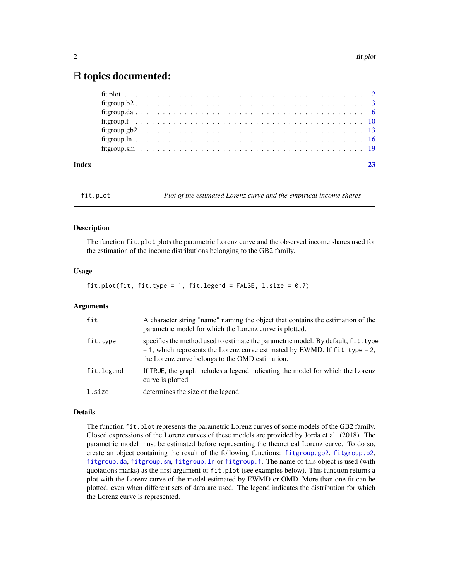# <span id="page-1-0"></span>R topics documented:

| Index | 23 |
|-------|----|
|       |    |
|       |    |
|       |    |
|       |    |
|       |    |
|       |    |
|       |    |

fit.plot *Plot of the estimated Lorenz curve and the empirical income shares*

#### Description

The function fit.plot plots the parametric Lorenz curve and the observed income shares used for the estimation of the income distributions belonging to the GB2 family.

#### Usage

#### fit.plot(fit, fit.type = 1, fit.legend = FALSE,  $l.size = 0.7$ )

#### Arguments

| fit        | A character string "name" naming the object that contains the estimation of the<br>parametric model for which the Lorenz curve is plotted.                                                                                |
|------------|---------------------------------------------------------------------------------------------------------------------------------------------------------------------------------------------------------------------------|
| fit.type   | specifies the method used to estimate the parametric model. By default, fit, type<br>$= 1$ , which represents the Lorenz curve estimated by EWMD. If fit. type $= 2$ ,<br>the Lorenz curve belongs to the OMD estimation. |
| fit.legend | If TRUE, the graph includes a legend indicating the model for which the Lorenz<br>curve is plotted.                                                                                                                       |
| l.size     | determines the size of the legend.                                                                                                                                                                                        |

#### Details

The function fit.plot represents the parametric Lorenz curves of some models of the GB2 family. Closed expressions of the Lorenz curves of these models are provided by Jorda et al. (2018). The parametric model must be estimated before representing the theoretical Lorenz curve. To do so, create an object containing the result of the following functions: [fitgroup.gb2](#page-12-1), [fitgroup.b2](#page-2-1), [fitgroup.da](#page-5-1), [fitgroup.sm](#page-18-1), [fitgroup.ln](#page-15-1) or [fitgroup.f](#page-9-1). The name of this object is used (with quotations marks) as the first argument of fit.plot (see examples below). This function returns a plot with the Lorenz curve of the model estimated by EWMD or OMD. More than one fit can be plotted, even when different sets of data are used. The legend indicates the distribution for which the Lorenz curve is represented.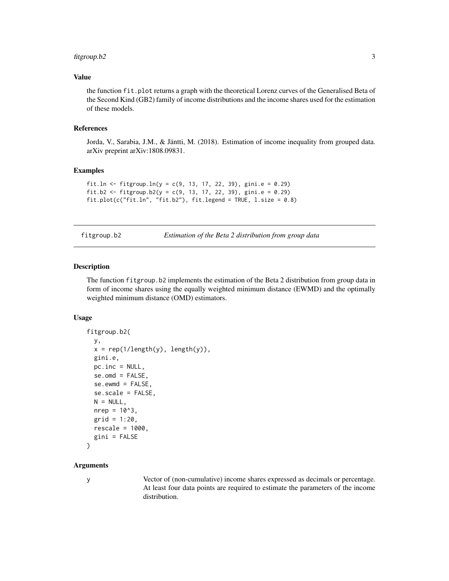#### <span id="page-2-0"></span>fitgroup.b2 3

#### Value

the function fit.plot returns a graph with the theoretical Lorenz curves of the Generalised Beta of the Second Kind (GB2) family of income distributions and the income shares used for the estimation of these models.

#### References

Jorda, V., Sarabia, J.M., & Jäntti, M. (2018). Estimation of income inequality from grouped data. arXiv preprint arXiv:1808.09831.

#### Examples

```
fit.ln <- fitgroup.ln(y = c(9, 13, 17, 22, 39), gini.e = 0.29)
fit.b2 <- fitgroup.b2(y = c(9, 13, 17, 22, 39), gini.e = 0.29)
fit.plot(c("fit.ln", "fit.b2"), fit.legend = TRUE, l.size = 0.8)
```
fitgroup.b2 *Estimation of the Beta 2 distribution from group data*

#### Description

The function fitgroup.b2 implements the estimation of the Beta 2 distribution from group data in form of income shares using the equally weighted minimum distance (EWMD) and the optimally weighted minimum distance (OMD) estimators.

#### Usage

```
fitgroup.b2(
 y,
 x = rep(1/length(y), length(y)),gini.e,
 pc.inc = NULL,
  se.omd = FALSE,se.ewmd = FALSE,
  se.scale = FALSE,
 N = NULL,nrep = 10<sup>4</sup>3,
 grid = 1:20,
  rescale = 1000,
  gini = FALSE
```

```
)
```
#### Arguments

y Vector of (non-cumulative) income shares expressed as decimals or percentage. At least four data points are required to estimate the parameters of the income distribution.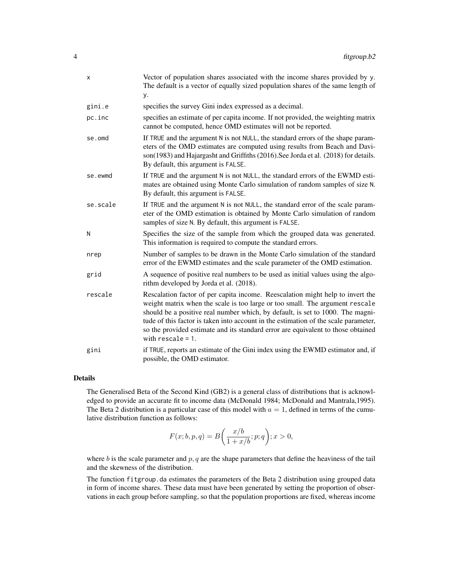| X        | Vector of population shares associated with the income shares provided by y.<br>The default is a vector of equally sized population shares of the same length of<br>у.                                                                                                                                                                                                                                                                              |
|----------|-----------------------------------------------------------------------------------------------------------------------------------------------------------------------------------------------------------------------------------------------------------------------------------------------------------------------------------------------------------------------------------------------------------------------------------------------------|
| gini.e   | specifies the survey Gini index expressed as a decimal.                                                                                                                                                                                                                                                                                                                                                                                             |
| pc.inc   | specifies an estimate of per capita income. If not provided, the weighting matrix<br>cannot be computed, hence OMD estimates will not be reported.                                                                                                                                                                                                                                                                                                  |
| se.omd   | If TRUE and the argument N is not NULL, the standard errors of the shape param-<br>eters of the OMD estimates are computed using results from Beach and Davi-<br>son(1983) and Hajargasht and Griffiths (2016). See Jorda et al. (2018) for details.<br>By default, this argument is FALSE.                                                                                                                                                         |
| se.ewmd  | If TRUE and the argument N is not NULL, the standard errors of the EWMD esti-<br>mates are obtained using Monte Carlo simulation of random samples of size N.<br>By default, this argument is FALSE.                                                                                                                                                                                                                                                |
| se.scale | If TRUE and the argument N is not NULL, the standard error of the scale param-<br>eter of the OMD estimation is obtained by Monte Carlo simulation of random<br>samples of size N. By default, this argument is FALSE.                                                                                                                                                                                                                              |
| N        | Specifies the size of the sample from which the grouped data was generated.<br>This information is required to compute the standard errors.                                                                                                                                                                                                                                                                                                         |
| nrep     | Number of samples to be drawn in the Monte Carlo simulation of the standard<br>error of the EWMD estimates and the scale parameter of the OMD estimation.                                                                                                                                                                                                                                                                                           |
| grid     | A sequence of positive real numbers to be used as initial values using the algo-<br>rithm developed by Jorda et al. (2018).                                                                                                                                                                                                                                                                                                                         |
| rescale  | Rescalation factor of per capita income. Reescalation might help to invert the<br>weight matrix when the scale is too large or too small. The argument rescale<br>should be a positive real number which, by default, is set to 1000. The magni-<br>tude of this factor is taken into account in the estimation of the scale parameter,<br>so the provided estimate and its standard error are equivalent to those obtained<br>with $rescale = 1$ . |
| gini     | if TRUE, reports an estimate of the Gini index using the EWMD estimator and, if<br>possible, the OMD estimator.                                                                                                                                                                                                                                                                                                                                     |

The Generalised Beta of the Second Kind (GB2) is a general class of distributions that is acknowledged to provide an accurate fit to income data (McDonald 1984; McDonald and Mantrala,1995). The Beta 2 distribution is a particular case of this model with  $a = 1$ , defined in terms of the cumulative distribution function as follows:

$$
F(x;b,p,q) = B\bigg(\frac{x/b}{1+x/b};p;q\bigg); x > 0,
$$

where  $b$  is the scale parameter and  $p, q$  are the shape parameters that define the heaviness of the tail and the skewness of the distribution.

The function fitgroup.da estimates the parameters of the Beta 2 distribution using grouped data in form of income shares. These data must have been generated by setting the proportion of observations in each group before sampling, so that the population proportions are fixed, whereas income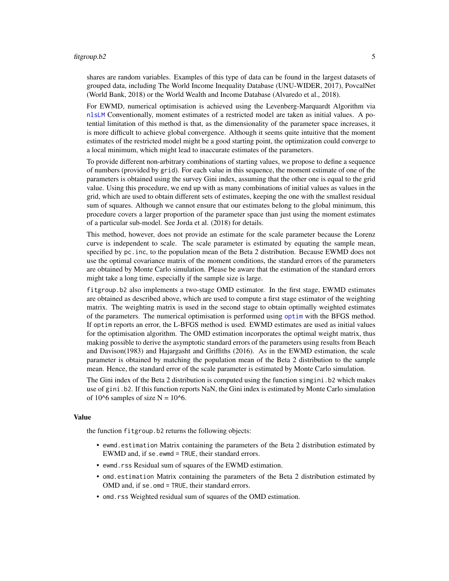#### <span id="page-4-0"></span>fitgroup.b2 5

shares are random variables. Examples of this type of data can be found in the largest datasets of grouped data, including The World Income Inequality Database (UNU-WIDER, 2017), PovcalNet (World Bank, 2018) or the World Wealth and Income Database (Alvaredo et al., 2018).

For EWMD, numerical optimisation is achieved using the Levenberg-Marquardt Algorithm via [nlsLM](#page-0-0) Conventionally, moment estimates of a restricted model are taken as initial values. A potential limitation of this method is that, as the dimensionality of the parameter space increases, it is more difficult to achieve global convergence. Although it seems quite intuitive that the moment estimates of the restricted model might be a good starting point, the optimization could converge to a local minimum, which might lead to inaccurate estimates of the parameters.

To provide different non-arbitrary combinations of starting values, we propose to define a sequence of numbers (provided by grid). For each value in this sequence, the moment estimate of one of the parameters is obtained using the survey Gini index, assuming that the other one is equal to the grid value. Using this procedure, we end up with as many combinations of initial values as values in the grid, which are used to obtain different sets of estimates, keeping the one with the smallest residual sum of squares. Although we cannot ensure that our estimates belong to the global minimum, this procedure covers a larger proportion of the parameter space than just using the moment estimates of a particular sub-model. See Jorda et al. (2018) for details.

This method, however, does not provide an estimate for the scale parameter because the Lorenz curve is independent to scale. The scale parameter is estimated by equating the sample mean, specified by pc.inc, to the population mean of the Beta 2 distribution. Because EWMD does not use the optimal covariance matrix of the moment conditions, the standard errors of the parameters are obtained by Monte Carlo simulation. Please be aware that the estimation of the standard errors might take a long time, especially if the sample size is large.

fitgroup.b2 also implements a two-stage OMD estimator. In the first stage, EWMD estimates are obtained as described above, which are used to compute a first stage estimator of the weighting matrix. The weighting matrix is used in the second stage to obtain optimally weighted estimates of the parameters. The numerical optimisation is performed using [optim](#page-0-0) with the BFGS method. If optim reports an error, the L-BFGS method is used. EWMD estimates are used as initial values for the optimisation algorithm. The OMD estimation incorporates the optimal weight matrix, thus making possible to derive the asymptotic standard errors of the parameters using results from Beach and Davison(1983) and Hajargasht and Griffiths (2016). As in the EWMD estimation, the scale parameter is obtained by matching the population mean of the Beta 2 distribution to the sample mean. Hence, the standard error of the scale parameter is estimated by Monte Carlo simulation.

The Gini index of the Beta 2 distribution is computed using the function simgini.b2 which makes use of gini.b2. If this function reports NaN, the Gini index is estimated by Monte Carlo simulation of 10^6 samples of size  $N = 10$ ^6.

#### Value

the function fitgroup.b2 returns the following objects:

- ewmd.estimation Matrix containing the parameters of the Beta 2 distribution estimated by EWMD and, if se.ewmd = TRUE, their standard errors.
- ewmd.rss Residual sum of squares of the EWMD estimation.
- omd.estimation Matrix containing the parameters of the Beta 2 distribution estimated by OMD and, if se.omd = TRUE, their standard errors.
- omd.rss Weighted residual sum of squares of the OMD estimation.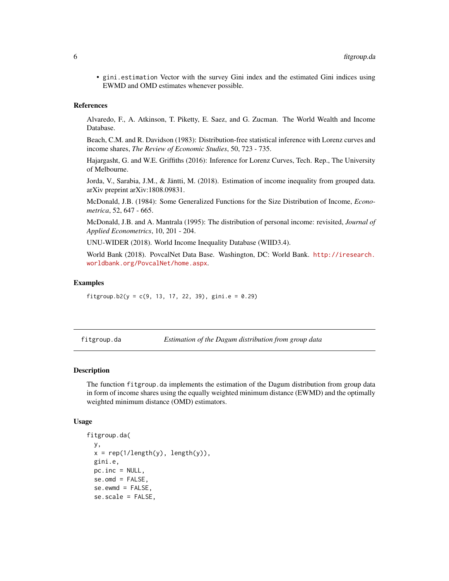<span id="page-5-0"></span>• gini.estimation Vector with the survey Gini index and the estimated Gini indices using EWMD and OMD estimates whenever possible.

#### References

Alvaredo, F., A. Atkinson, T. Piketty, E. Saez, and G. Zucman. The World Wealth and Income Database.

Beach, C.M. and R. Davidson (1983): Distribution-free statistical inference with Lorenz curves and income shares, *The Review of Economic Studies*, 50, 723 - 735.

Hajargasht, G. and W.E. Griffiths (2016): Inference for Lorenz Curves, Tech. Rep., The University of Melbourne.

Jorda, V., Sarabia, J.M., & Jäntti, M. (2018). Estimation of income inequality from grouped data. arXiv preprint arXiv:1808.09831.

McDonald, J.B. (1984): Some Generalized Functions for the Size Distribution of Income, *Econometrica*, 52, 647 - 665.

McDonald, J.B. and A. Mantrala (1995): The distribution of personal income: revisited, *Journal of Applied Econometrics*, 10, 201 - 204.

UNU-WIDER (2018). World Income Inequality Database (WIID3.4).

World Bank (2018). PovcalNet Data Base. Washington, DC: World Bank. [http://iresearch.](http://iresearch.worldbank.org/PovcalNet/home.aspx) [worldbank.org/PovcalNet/home.aspx](http://iresearch.worldbank.org/PovcalNet/home.aspx).

#### Examples

fitgroup.b2( $y = c(9, 13, 17, 22, 39)$ , gini.e = 0.29)

<span id="page-5-1"></span>fitgroup.da *Estimation of the Dagum distribution from group data*

#### Description

The function fitgroup.da implements the estimation of the Dagum distribution from group data in form of income shares using the equally weighted minimum distance (EWMD) and the optimally weighted minimum distance (OMD) estimators.

#### Usage

```
fitgroup.da(
  y,
  x = rep(1/length(y), length(y)),gini.e,
 pc.inc = NULL,
  se.omd = FALSE,
  se.ewmd = FALSE,
  se.scale = FALSE,
```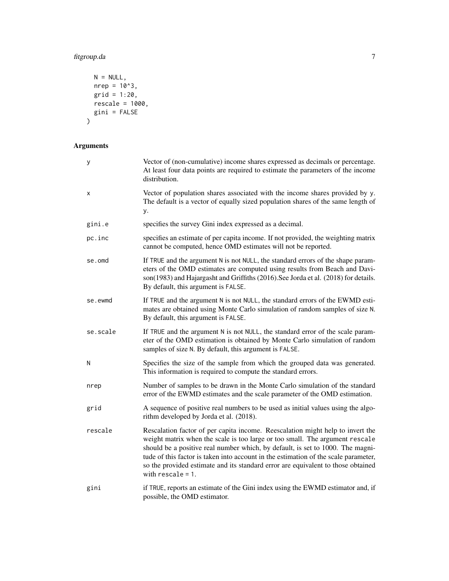# fitgroup.da 7

```
N = NULL,nrep = 10<sup>1</sup>3,grid = 1:20,rescale = 1000,gini = FALSE
\mathcal{L}
```
# Arguments

| у        | Vector of (non-cumulative) income shares expressed as decimals or percentage.<br>At least four data points are required to estimate the parameters of the income<br>distribution.                                                                                                                                                                                                                                                                   |
|----------|-----------------------------------------------------------------------------------------------------------------------------------------------------------------------------------------------------------------------------------------------------------------------------------------------------------------------------------------------------------------------------------------------------------------------------------------------------|
| Χ        | Vector of population shares associated with the income shares provided by y.<br>The default is a vector of equally sized population shares of the same length of<br>у.                                                                                                                                                                                                                                                                              |
| gini.e   | specifies the survey Gini index expressed as a decimal.                                                                                                                                                                                                                                                                                                                                                                                             |
| pc.inc   | specifies an estimate of per capita income. If not provided, the weighting matrix<br>cannot be computed, hence OMD estimates will not be reported.                                                                                                                                                                                                                                                                                                  |
| se.omd   | If TRUE and the argument N is not NULL, the standard errors of the shape param-<br>eters of the OMD estimates are computed using results from Beach and Davi-<br>son(1983) and Hajargasht and Griffiths (2016). See Jorda et al. (2018) for details.<br>By default, this argument is FALSE.                                                                                                                                                         |
| se.ewmd  | If TRUE and the argument N is not NULL, the standard errors of the EWMD esti-<br>mates are obtained using Monte Carlo simulation of random samples of size N.<br>By default, this argument is FALSE.                                                                                                                                                                                                                                                |
| se.scale | If TRUE and the argument N is not NULL, the standard error of the scale param-<br>eter of the OMD estimation is obtained by Monte Carlo simulation of random<br>samples of size N. By default, this argument is FALSE.                                                                                                                                                                                                                              |
| Ν        | Specifies the size of the sample from which the grouped data was generated.<br>This information is required to compute the standard errors.                                                                                                                                                                                                                                                                                                         |
| nrep     | Number of samples to be drawn in the Monte Carlo simulation of the standard<br>error of the EWMD estimates and the scale parameter of the OMD estimation.                                                                                                                                                                                                                                                                                           |
| grid     | A sequence of positive real numbers to be used as initial values using the algo-<br>rithm developed by Jorda et al. (2018).                                                                                                                                                                                                                                                                                                                         |
| rescale  | Rescalation factor of per capita income. Reescalation might help to invert the<br>weight matrix when the scale is too large or too small. The argument rescale<br>should be a positive real number which, by default, is set to 1000. The magni-<br>tude of this factor is taken into account in the estimation of the scale parameter,<br>so the provided estimate and its standard error are equivalent to those obtained<br>with rescale $= 1$ . |
| gini     | if TRUE, reports an estimate of the Gini index using the EWMD estimator and, if<br>possible, the OMD estimator.                                                                                                                                                                                                                                                                                                                                     |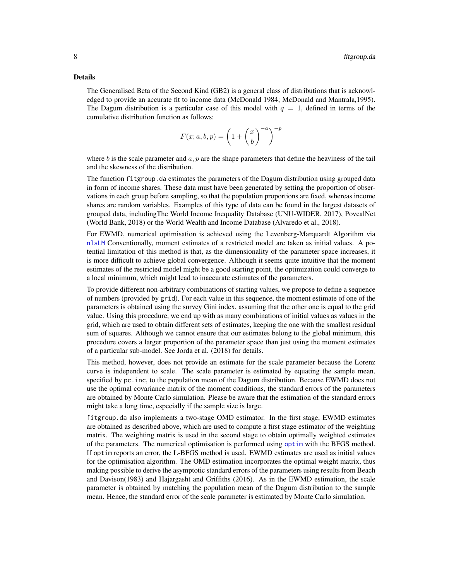<span id="page-7-0"></span>The Generalised Beta of the Second Kind (GB2) is a general class of distributions that is acknowledged to provide an accurate fit to income data (McDonald 1984; McDonald and Mantrala,1995). The Dagum distribution is a particular case of this model with  $q = 1$ , defined in terms of the cumulative distribution function as follows:

$$
F(x;a,b,p) = \left(1 + \left(\frac{x}{b}\right)^{-a}\right)^{-p}
$$

where b is the scale parameter and  $a, p$  are the shape parameters that define the heaviness of the tail and the skewness of the distribution.

The function fitgroup.da estimates the parameters of the Dagum distribution using grouped data in form of income shares. These data must have been generated by setting the proportion of observations in each group before sampling, so that the population proportions are fixed, whereas income shares are random variables. Examples of this type of data can be found in the largest datasets of grouped data, includingThe World Income Inequality Database (UNU-WIDER, 2017), PovcalNet (World Bank, 2018) or the World Wealth and Income Database (Alvaredo et al., 2018).

For EWMD, numerical optimisation is achieved using the Levenberg-Marquardt Algorithm via [nlsLM](#page-0-0) Conventionally, moment estimates of a restricted model are taken as initial values. A potential limitation of this method is that, as the dimensionality of the parameter space increases, it is more difficult to achieve global convergence. Although it seems quite intuitive that the moment estimates of the restricted model might be a good starting point, the optimization could converge to a local minimum, which might lead to inaccurate estimates of the parameters.

To provide different non-arbitrary combinations of starting values, we propose to define a sequence of numbers (provided by grid). For each value in this sequence, the moment estimate of one of the parameters is obtained using the survey Gini index, assuming that the other one is equal to the grid value. Using this procedure, we end up with as many combinations of initial values as values in the grid, which are used to obtain different sets of estimates, keeping the one with the smallest residual sum of squares. Although we cannot ensure that our estimates belong to the global minimum, this procedure covers a larger proportion of the parameter space than just using the moment estimates of a particular sub-model. See Jorda et al. (2018) for details.

This method, however, does not provide an estimate for the scale parameter because the Lorenz curve is independent to scale. The scale parameter is estimated by equating the sample mean, specified by pc. inc, to the population mean of the Dagum distribution. Because EWMD does not use the optimal covariance matrix of the moment conditions, the standard errors of the parameters are obtained by Monte Carlo simulation. Please be aware that the estimation of the standard errors might take a long time, especially if the sample size is large.

fitgroup.da also implements a two-stage OMD estimator. In the first stage, EWMD estimates are obtained as described above, which are used to compute a first stage estimator of the weighting matrix. The weighting matrix is used in the second stage to obtain optimally weighted estimates of the parameters. The numerical optimisation is performed using [optim](#page-0-0) with the BFGS method. If optim reports an error, the L-BFGS method is used. EWMD estimates are used as initial values for the optimisation algorithm. The OMD estimation incorporates the optimal weight matrix, thus making possible to derive the asymptotic standard errors of the parameters using results from Beach and Davison(1983) and Hajargasht and Griffiths (2016). As in the EWMD estimation, the scale parameter is obtained by matching the population mean of the Dagum distribution to the sample mean. Hence, the standard error of the scale parameter is estimated by Monte Carlo simulation.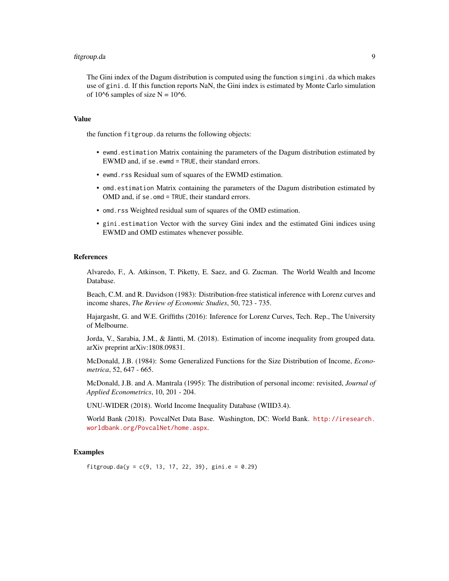#### fitgroup.da 9

The Gini index of the Dagum distribution is computed using the function simgini. da which makes use of gini.d. If this function reports NaN, the Gini index is estimated by Monte Carlo simulation of 10^6 samples of size  $N = 10^{-6}$ .

#### Value

the function fitgroup.da returns the following objects:

- ewmd.estimation Matrix containing the parameters of the Dagum distribution estimated by EWMD and, if se.ewmd = TRUE, their standard errors.
- ewmd.rss Residual sum of squares of the EWMD estimation.
- omd.estimation Matrix containing the parameters of the Dagum distribution estimated by OMD and, if se.omd = TRUE, their standard errors.
- omd.rss Weighted residual sum of squares of the OMD estimation.
- gini.estimation Vector with the survey Gini index and the estimated Gini indices using EWMD and OMD estimates whenever possible.

#### References

Alvaredo, F., A. Atkinson, T. Piketty, E. Saez, and G. Zucman. The World Wealth and Income Database.

Beach, C.M. and R. Davidson (1983): Distribution-free statistical inference with Lorenz curves and income shares, *The Review of Economic Studies*, 50, 723 - 735.

Hajargasht, G. and W.E. Griffiths (2016): Inference for Lorenz Curves, Tech. Rep., The University of Melbourne.

Jorda, V., Sarabia, J.M., & Jäntti, M. (2018). Estimation of income inequality from grouped data. arXiv preprint arXiv:1808.09831.

McDonald, J.B. (1984): Some Generalized Functions for the Size Distribution of Income, *Econometrica*, 52, 647 - 665.

McDonald, J.B. and A. Mantrala (1995): The distribution of personal income: revisited, *Journal of Applied Econometrics*, 10, 201 - 204.

UNU-WIDER (2018). World Income Inequality Database (WIID3.4).

World Bank (2018). PovcalNet Data Base. Washington, DC: World Bank. [http://iresearch.](http://iresearch.worldbank.org/PovcalNet/home.aspx) [worldbank.org/PovcalNet/home.aspx](http://iresearch.worldbank.org/PovcalNet/home.aspx).

#### Examples

fitgroup.da( $y = c(9, 13, 17, 22, 39)$ , gini.e = 0.29)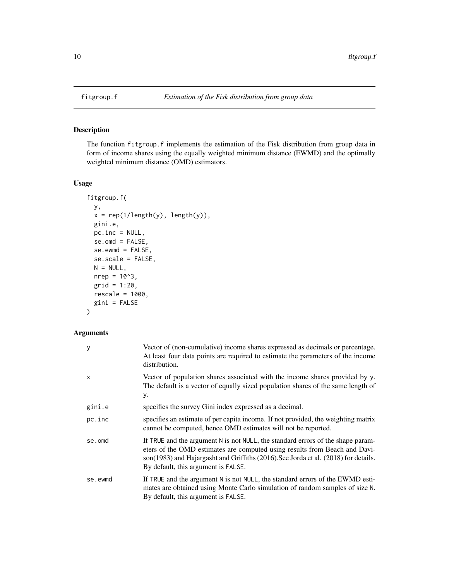<span id="page-9-1"></span><span id="page-9-0"></span>

#### Description

The function fitgroup.f implements the estimation of the Fisk distribution from group data in form of income shares using the equally weighted minimum distance (EWMD) and the optimally weighted minimum distance (OMD) estimators.

#### Usage

```
fitgroup.f(
 y,
 x = rep(1/length(y), length(y)),gini.e,
 pc.inc = NULL,
 se.omd = FALSE,
 se.ewmd = FALSE,
  se.scale = FALSE,
 N = NULL,nrep = 10^3,grid = 1:20,
 rescale = 1000,
 gini = FALSE
)
```
### Arguments

| y       | Vector of (non-cumulative) income shares expressed as decimals or percentage.<br>At least four data points are required to estimate the parameters of the income<br>distribution.                                                                                                           |
|---------|---------------------------------------------------------------------------------------------------------------------------------------------------------------------------------------------------------------------------------------------------------------------------------------------|
| x       | Vector of population shares associated with the income shares provided by y.<br>The default is a vector of equally sized population shares of the same length of<br>у.                                                                                                                      |
| gini.e  | specifies the survey Gini index expressed as a decimal.                                                                                                                                                                                                                                     |
| pc.inc  | specifies an estimate of per capita income. If not provided, the weighting matrix<br>cannot be computed, hence OMD estimates will not be reported.                                                                                                                                          |
| se.omd  | If TRUE and the argument N is not NULL, the standard errors of the shape param-<br>eters of the OMD estimates are computed using results from Beach and Davi-<br>son(1983) and Hajargasht and Griffiths (2016). See Jorda et al. (2018) for details.<br>By default, this argument is FALSE. |
| se.ewmd | If TRUE and the argument N is not NULL, the standard errors of the EWMD esti-<br>mates are obtained using Monte Carlo simulation of random samples of size N.<br>By default, this argument is FALSE.                                                                                        |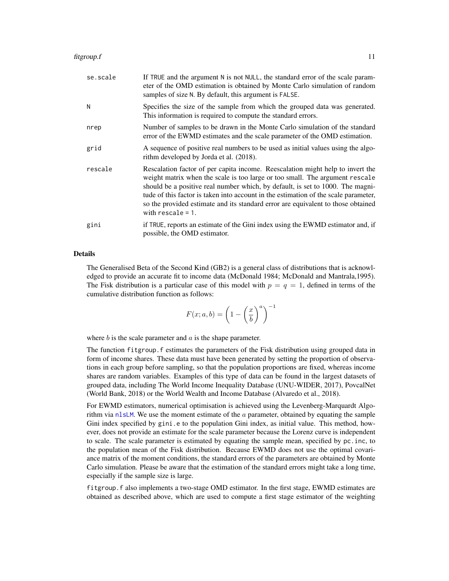<span id="page-10-0"></span>

| se.scale | If TRUE and the argument N is not NULL, the standard error of the scale param-<br>eter of the OMD estimation is obtained by Monte Carlo simulation of random<br>samples of size N. By default, this argument is FALSE.                                                                                                                                                                                                                              |
|----------|-----------------------------------------------------------------------------------------------------------------------------------------------------------------------------------------------------------------------------------------------------------------------------------------------------------------------------------------------------------------------------------------------------------------------------------------------------|
| N        | Specifies the size of the sample from which the grouped data was generated.<br>This information is required to compute the standard errors.                                                                                                                                                                                                                                                                                                         |
| nrep     | Number of samples to be drawn in the Monte Carlo simulation of the standard<br>error of the EWMD estimates and the scale parameter of the OMD estimation.                                                                                                                                                                                                                                                                                           |
| grid     | A sequence of positive real numbers to be used as initial values using the algo-<br>rithm developed by Jorda et al. (2018).                                                                                                                                                                                                                                                                                                                         |
| rescale  | Rescalation factor of per capita income. Reescalation might help to invert the<br>weight matrix when the scale is too large or too small. The argument rescale<br>should be a positive real number which, by default, is set to 1000. The magni-<br>tude of this factor is taken into account in the estimation of the scale parameter,<br>so the provided estimate and its standard error are equivalent to those obtained<br>with rescale $= 1$ . |
| gini     | if TRUE, reports an estimate of the Gini index using the EWMD estimator and, if<br>possible, the OMD estimator.                                                                                                                                                                                                                                                                                                                                     |

The Generalised Beta of the Second Kind (GB2) is a general class of distributions that is acknowledged to provide an accurate fit to income data (McDonald 1984; McDonald and Mantrala,1995). The Fisk distribution is a particular case of this model with  $p = q = 1$ , defined in terms of the cumulative distribution function as follows:

$$
F(x;a,b) = \left(1 - \left(\frac{x}{b}\right)^a\right)^{-1}
$$

where  $b$  is the scale parameter and  $a$  is the shape parameter.

The function fitgroup.f estimates the parameters of the Fisk distribution using grouped data in form of income shares. These data must have been generated by setting the proportion of observations in each group before sampling, so that the population proportions are fixed, whereas income shares are random variables. Examples of this type of data can be found in the largest datasets of grouped data, including The World Income Inequality Database (UNU-WIDER, 2017), PovcalNet (World Bank, 2018) or the World Wealth and Income Database (Alvaredo et al., 2018).

For EWMD estimators, numerical optimisation is achieved using the Levenberg-Marquardt Algorithm via [nlsLM](#page-0-0). We use the moment estimate of the  $a$  parameter, obtained by equating the sample Gini index specified by gini.e to the population Gini index, as initial value. This method, however, does not provide an estimate for the scale parameter because the Lorenz curve is independent to scale. The scale parameter is estimated by equating the sample mean, specified by pc.inc, to the population mean of the Fisk distribution. Because EWMD does not use the optimal covariance matrix of the moment conditions, the standard errors of the parameters are obtained by Monte Carlo simulation. Please be aware that the estimation of the standard errors might take a long time, especially if the sample size is large.

fitgroup.f also implements a two-stage OMD estimator. In the first stage, EWMD estimates are obtained as described above, which are used to compute a first stage estimator of the weighting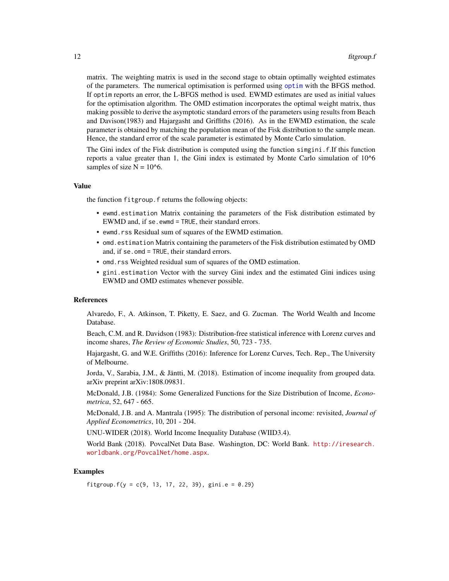matrix. The weighting matrix is used in the second stage to obtain optimally weighted estimates of the parameters. The numerical optimisation is performed using [optim](#page-0-0) with the BFGS method. If optim reports an error, the L-BFGS method is used. EWMD estimates are used as initial values for the optimisation algorithm. The OMD estimation incorporates the optimal weight matrix, thus making possible to derive the asymptotic standard errors of the parameters using results from Beach and Davison(1983) and Hajargasht and Griffiths (2016). As in the EWMD estimation, the scale parameter is obtained by matching the population mean of the Fisk distribution to the sample mean. Hence, the standard error of the scale parameter is estimated by Monte Carlo simulation.

The Gini index of the Fisk distribution is computed using the function simgini.f.If this function reports a value greater than 1, the Gini index is estimated by Monte Carlo simulation of 10^6 samples of size  $N = 10<sup>6</sup>$ .

#### Value

the function fitgroup.f returns the following objects:

- ewmd.estimation Matrix containing the parameters of the Fisk distribution estimated by EWMD and, if se.ewmd = TRUE, their standard errors.
- ewmd.rss Residual sum of squares of the EWMD estimation.
- omd.estimation Matrix containing the parameters of the Fisk distribution estimated by OMD and, if se.omd = TRUE, their standard errors.
- omd.rss Weighted residual sum of squares of the OMD estimation.
- gini.estimation Vector with the survey Gini index and the estimated Gini indices using EWMD and OMD estimates whenever possible.

#### References

Alvaredo, F., A. Atkinson, T. Piketty, E. Saez, and G. Zucman. The World Wealth and Income Database.

Beach, C.M. and R. Davidson (1983): Distribution-free statistical inference with Lorenz curves and income shares, *The Review of Economic Studies*, 50, 723 - 735.

Hajargasht, G. and W.E. Griffiths (2016): Inference for Lorenz Curves, Tech. Rep., The University of Melbourne.

Jorda, V., Sarabia, J.M., & Jäntti, M. (2018). Estimation of income inequality from grouped data. arXiv preprint arXiv:1808.09831.

McDonald, J.B. (1984): Some Generalized Functions for the Size Distribution of Income, *Econometrica*, 52, 647 - 665.

McDonald, J.B. and A. Mantrala (1995): The distribution of personal income: revisited, *Journal of Applied Econometrics*, 10, 201 - 204.

UNU-WIDER (2018). World Income Inequality Database (WIID3.4).

World Bank (2018). PovcalNet Data Base. Washington, DC: World Bank. [http://iresearch.](http://iresearch.worldbank.org/PovcalNet/home.aspx) [worldbank.org/PovcalNet/home.aspx](http://iresearch.worldbank.org/PovcalNet/home.aspx).

### Examples

fitgroup.f( $y = c(9, 13, 17, 22, 39)$ , gini.e = 0.29)

<span id="page-11-0"></span>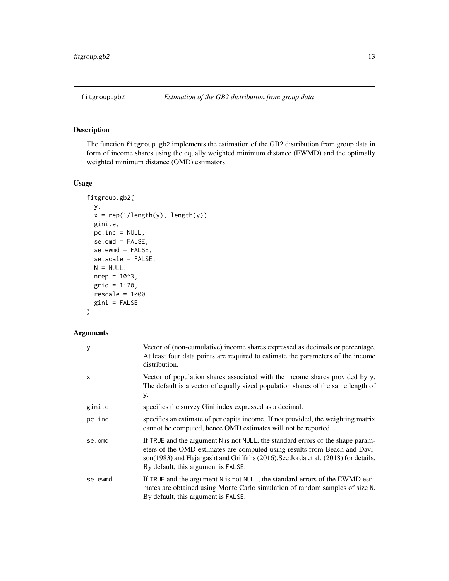<span id="page-12-1"></span><span id="page-12-0"></span>

#### Description

The function fitgroup.gb2 implements the estimation of the GB2 distribution from group data in form of income shares using the equally weighted minimum distance (EWMD) and the optimally weighted minimum distance (OMD) estimators.

#### Usage

```
fitgroup.gb2(
 y,
 x = rep(1/length(y), length(y)),gini.e,
 pc.inc = NULL,
 se.omd = FALSE,
 se.ewmd = FALSE,
  se.scale = FALSE,
 N = NULL,nrep = 10^3,grid = 1:20,
 rescale = 1000,
 gini = FALSE
)
```
### Arguments

| у       | Vector of (non-cumulative) income shares expressed as decimals or percentage.<br>At least four data points are required to estimate the parameters of the income<br>distribution.                                                                                                           |
|---------|---------------------------------------------------------------------------------------------------------------------------------------------------------------------------------------------------------------------------------------------------------------------------------------------|
| x       | Vector of population shares associated with the income shares provided by y.<br>The default is a vector of equally sized population shares of the same length of<br>у.                                                                                                                      |
| gini.e  | specifies the survey Gini index expressed as a decimal.                                                                                                                                                                                                                                     |
| pc.inc  | specifies an estimate of per capita income. If not provided, the weighting matrix<br>cannot be computed, hence OMD estimates will not be reported.                                                                                                                                          |
| se.omd  | If TRUE and the argument N is not NULL, the standard errors of the shape param-<br>eters of the OMD estimates are computed using results from Beach and Davi-<br>son(1983) and Hajargasht and Griffiths (2016). See Jorda et al. (2018) for details.<br>By default, this argument is FALSE. |
| se.ewmd | If TRUE and the argument N is not NULL, the standard errors of the EWMD esti-<br>mates are obtained using Monte Carlo simulation of random samples of size N.<br>By default, this argument is FALSE.                                                                                        |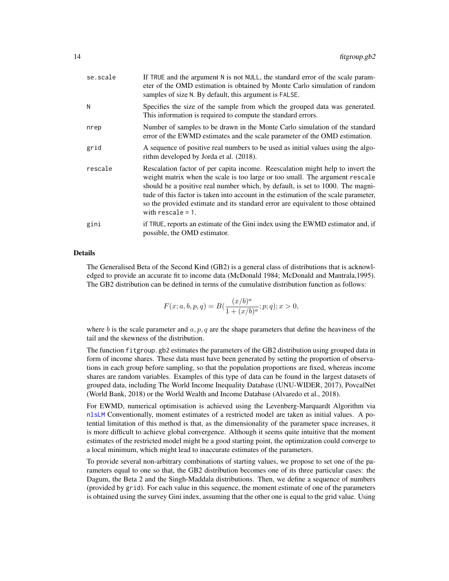<span id="page-13-0"></span>

| se.scale | If TRUE and the argument N is not NULL, the standard error of the scale param-<br>eter of the OMD estimation is obtained by Monte Carlo simulation of random<br>samples of size N. By default, this argument is FALSE.                                                                                                                                                                                                                              |
|----------|-----------------------------------------------------------------------------------------------------------------------------------------------------------------------------------------------------------------------------------------------------------------------------------------------------------------------------------------------------------------------------------------------------------------------------------------------------|
| N        | Specifies the size of the sample from which the grouped data was generated.<br>This information is required to compute the standard errors.                                                                                                                                                                                                                                                                                                         |
| nrep     | Number of samples to be drawn in the Monte Carlo simulation of the standard<br>error of the EWMD estimates and the scale parameter of the OMD estimation.                                                                                                                                                                                                                                                                                           |
| grid     | A sequence of positive real numbers to be used as initial values using the algo-<br>rithm developed by Jorda et al. (2018).                                                                                                                                                                                                                                                                                                                         |
| rescale  | Rescalation factor of per capita income. Reescalation might help to invert the<br>weight matrix when the scale is too large or too small. The argument rescale<br>should be a positive real number which, by default, is set to 1000. The magni-<br>tude of this factor is taken into account in the estimation of the scale parameter,<br>so the provided estimate and its standard error are equivalent to those obtained<br>with rescale $= 1$ . |
| gini     | if TRUE, reports an estimate of the Gini index using the EWMD estimator and, if<br>possible, the OMD estimator.                                                                                                                                                                                                                                                                                                                                     |

The Generalised Beta of the Second Kind (GB2) is a general class of distributions that is acknowledged to provide an accurate fit to income data (McDonald 1984; McDonald and Mantrala,1995). The GB2 distribution can be defined in terms of the cumulative distribution function as follows:

$$
F(x;a,b,p,q) = B(\frac{(x/b)^a}{1 + (x/b)^a}; p; q); x > 0,
$$

where b is the scale parameter and  $a, p, q$  are the shape parameters that define the heaviness of the tail and the skewness of the distribution.

The function fitgroup.gb2 estimates the parameters of the GB2 distribution using grouped data in form of income shares. These data must have been generated by setting the proportion of observations in each group before sampling, so that the population proportions are fixed, whereas income shares are random variables. Examples of this type of data can be found in the largest datasets of grouped data, including The World Income Inequality Database (UNU-WIDER, 2017), PovcalNet (World Bank, 2018) or the World Wealth and Income Database (Alvaredo et al., 2018).

For EWMD, numerical optimisation is achieved using the Levenberg-Marquardt Algorithm via [nlsLM](#page-0-0) Conventionally, moment estimates of a restricted model are taken as initial values. A potential limitation of this method is that, as the dimensionality of the parameter space increases, it is more difficult to achieve global convergence. Although it seems quite intuitive that the moment estimates of the restricted model might be a good starting point, the optimization could converge to a local minimum, which might lead to inaccurate estimates of the parameters.

To provide several non-arbitrary combinations of starting values, we propose to set one of the parameters equal to one so that, the GB2 distribution becomes one of its three particular cases: the Dagum, the Beta 2 and the Singh-Maddala distributions. Then, we define a sequence of numbers (provided by grid). For each value in this sequence, the moment estimate of one of the parameters is obtained using the survey Gini index, assuming that the other one is equal to the grid value. Using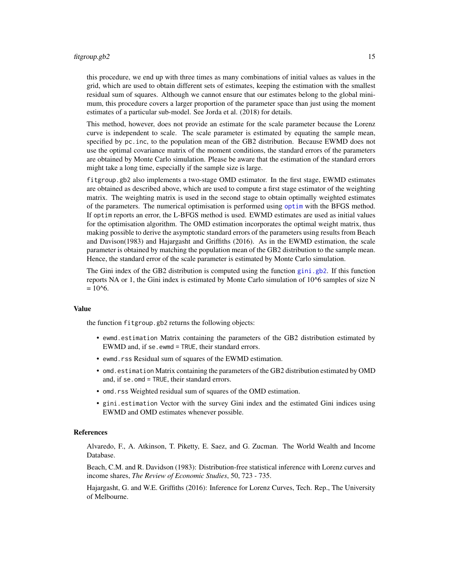#### <span id="page-14-0"></span>fitgroup.gb2 15

this procedure, we end up with three times as many combinations of initial values as values in the grid, which are used to obtain different sets of estimates, keeping the estimation with the smallest residual sum of squares. Although we cannot ensure that our estimates belong to the global minimum, this procedure covers a larger proportion of the parameter space than just using the moment estimates of a particular sub-model. See Jorda et al. (2018) for details.

This method, however, does not provide an estimate for the scale parameter because the Lorenz curve is independent to scale. The scale parameter is estimated by equating the sample mean, specified by pc.inc, to the population mean of the GB2 distribution. Because EWMD does not use the optimal covariance matrix of the moment conditions, the standard errors of the parameters are obtained by Monte Carlo simulation. Please be aware that the estimation of the standard errors might take a long time, especially if the sample size is large.

fitgroup.gb2 also implements a two-stage OMD estimator. In the first stage, EWMD estimates are obtained as described above, which are used to compute a first stage estimator of the weighting matrix. The weighting matrix is used in the second stage to obtain optimally weighted estimates of the parameters. The numerical optimisation is performed using [optim](#page-0-0) with the BFGS method. If optim reports an error, the L-BFGS method is used. EWMD estimates are used as initial values for the optimisation algorithm. The OMD estimation incorporates the optimal weight matrix, thus making possible to derive the asymptotic standard errors of the parameters using results from Beach and Davison(1983) and Hajargasht and Griffiths (2016). As in the EWMD estimation, the scale parameter is obtained by matching the population mean of the GB2 distribution to the sample mean. Hence, the standard error of the scale parameter is estimated by Monte Carlo simulation.

The Gini index of the GB2 distribution is computed using the function [gini.gb2](#page-0-0). If this function reports NA or 1, the Gini index is estimated by Monte Carlo simulation of 10^6 samples of size N  $= 10^{6}$ .

#### Value

the function fitgroup.gb2 returns the following objects:

- ewmd.estimation Matrix containing the parameters of the GB2 distribution estimated by EWMD and, if se.ewmd = TRUE, their standard errors.
- ewmd.rss Residual sum of squares of the EWMD estimation.
- omd.estimation Matrix containing the parameters of the GB2 distribution estimated by OMD and, if se.omd = TRUE, their standard errors.
- omd.rss Weighted residual sum of squares of the OMD estimation.
- gini.estimation Vector with the survey Gini index and the estimated Gini indices using EWMD and OMD estimates whenever possible.

#### References

Alvaredo, F., A. Atkinson, T. Piketty, E. Saez, and G. Zucman. The World Wealth and Income Database.

Beach, C.M. and R. Davidson (1983): Distribution-free statistical inference with Lorenz curves and income shares, *The Review of Economic Studies*, 50, 723 - 735.

Hajargasht, G. and W.E. Griffiths (2016): Inference for Lorenz Curves, Tech. Rep., The University of Melbourne.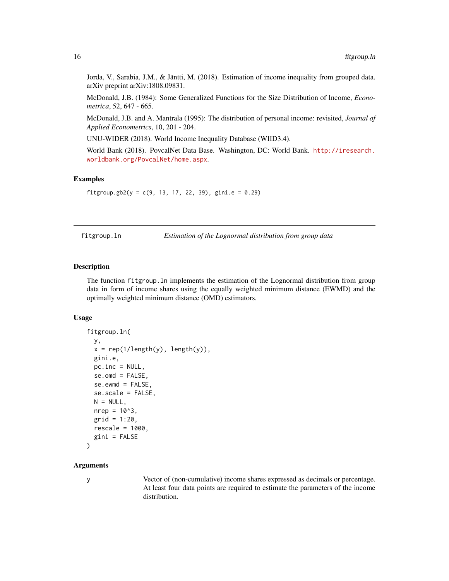Jorda, V., Sarabia, J.M., & Jäntti, M. (2018). Estimation of income inequality from grouped data. arXiv preprint arXiv:1808.09831.

McDonald, J.B. (1984): Some Generalized Functions for the Size Distribution of Income, *Econometrica*, 52, 647 - 665.

McDonald, J.B. and A. Mantrala (1995): The distribution of personal income: revisited, *Journal of Applied Econometrics*, 10, 201 - 204.

UNU-WIDER (2018). World Income Inequality Database (WIID3.4).

World Bank (2018). PovcalNet Data Base. Washington, DC: World Bank. [http://iresearch.](http://iresearch.worldbank.org/PovcalNet/home.aspx) [worldbank.org/PovcalNet/home.aspx](http://iresearch.worldbank.org/PovcalNet/home.aspx).

### Examples

```
fitgroup.gb2(y = c(9, 13, 17, 22, 39), gini.e = 0.29)
```
<span id="page-15-1"></span>fitgroup.ln *Estimation of the Lognormal distribution from group data*

#### Description

The function fitgroup.ln implements the estimation of the Lognormal distribution from group data in form of income shares using the equally weighted minimum distance (EWMD) and the optimally weighted minimum distance (OMD) estimators.

#### Usage

```
fitgroup.ln(
 y,
  x = rep(1/length(y), length(y)),gini.e,
 pc.inc = NULL,
  se.omd = FALSE,se.ewmd = FALSE,
  se.scale = FALSE,
 N = NULL,nrep = 10^3,
  grid = 1:20,
  rescale = 1000,
  gini = FALSE
)
```
#### Arguments

y Vector of (non-cumulative) income shares expressed as decimals or percentage. At least four data points are required to estimate the parameters of the income distribution.

<span id="page-15-0"></span>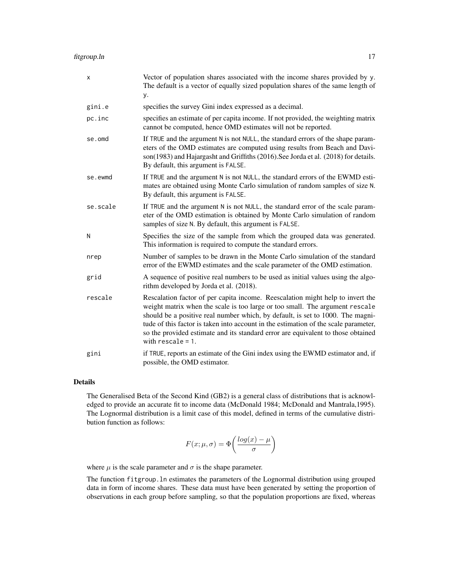fitgroup.ln 17

| x        | Vector of population shares associated with the income shares provided by y.<br>The default is a vector of equally sized population shares of the same length of<br>у.                                                                                                                                                                                                                                                                              |
|----------|-----------------------------------------------------------------------------------------------------------------------------------------------------------------------------------------------------------------------------------------------------------------------------------------------------------------------------------------------------------------------------------------------------------------------------------------------------|
| gini.e   | specifies the survey Gini index expressed as a decimal.                                                                                                                                                                                                                                                                                                                                                                                             |
| pc.inc   | specifies an estimate of per capita income. If not provided, the weighting matrix<br>cannot be computed, hence OMD estimates will not be reported.                                                                                                                                                                                                                                                                                                  |
| se.omd   | If TRUE and the argument N is not NULL, the standard errors of the shape param-<br>eters of the OMD estimates are computed using results from Beach and Davi-<br>son(1983) and Hajargasht and Griffiths (2016). See Jorda et al. (2018) for details.<br>By default, this argument is FALSE.                                                                                                                                                         |
| se.ewmd  | If TRUE and the argument N is not NULL, the standard errors of the EWMD esti-<br>mates are obtained using Monte Carlo simulation of random samples of size N.<br>By default, this argument is FALSE.                                                                                                                                                                                                                                                |
| se.scale | If TRUE and the argument N is not NULL, the standard error of the scale param-<br>eter of the OMD estimation is obtained by Monte Carlo simulation of random<br>samples of size N. By default, this argument is FALSE.                                                                                                                                                                                                                              |
| N        | Specifies the size of the sample from which the grouped data was generated.<br>This information is required to compute the standard errors.                                                                                                                                                                                                                                                                                                         |
| nrep     | Number of samples to be drawn in the Monte Carlo simulation of the standard<br>error of the EWMD estimates and the scale parameter of the OMD estimation.                                                                                                                                                                                                                                                                                           |
| grid     | A sequence of positive real numbers to be used as initial values using the algo-<br>rithm developed by Jorda et al. (2018).                                                                                                                                                                                                                                                                                                                         |
| rescale  | Rescalation factor of per capita income. Reescalation might help to invert the<br>weight matrix when the scale is too large or too small. The argument rescale<br>should be a positive real number which, by default, is set to 1000. The magni-<br>tude of this factor is taken into account in the estimation of the scale parameter,<br>so the provided estimate and its standard error are equivalent to those obtained<br>with $rescale = 1$ . |
| gini     | if TRUE, reports an estimate of the Gini index using the EWMD estimator and, if<br>possible, the OMD estimator.                                                                                                                                                                                                                                                                                                                                     |

#### Details

The Generalised Beta of the Second Kind (GB2) is a general class of distributions that is acknowledged to provide an accurate fit to income data (McDonald 1984; McDonald and Mantrala,1995). The Lognormal distribution is a limit case of this model, defined in terms of the cumulative distribution function as follows:

$$
F(x; \mu, \sigma) = \Phi\left(\frac{\log(x) - \mu}{\sigma}\right)
$$

where  $\mu$  is the scale parameter and  $\sigma$  is the shape parameter.

The function fitgroup.ln estimates the parameters of the Lognormal distribution using grouped data in form of income shares. These data must have been generated by setting the proportion of observations in each group before sampling, so that the population proportions are fixed, whereas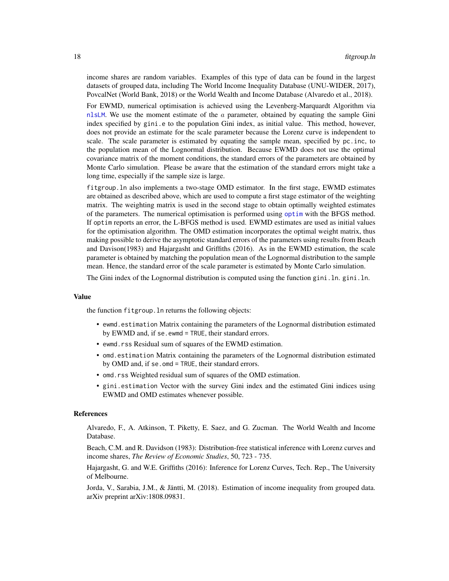<span id="page-17-0"></span>income shares are random variables. Examples of this type of data can be found in the largest datasets of grouped data, including The World Income Inequality Database (UNU-WIDER, 2017), PovcalNet (World Bank, 2018) or the World Wealth and Income Database (Alvaredo et al., 2018).

For EWMD, numerical optimisation is achieved using the Levenberg-Marquardt Algorithm via [nlsLM](#page-0-0). We use the moment estimate of the  $a$  parameter, obtained by equating the sample Gini index specified by gini.e to the population Gini index, as initial value. This method, however, does not provide an estimate for the scale parameter because the Lorenz curve is independent to scale. The scale parameter is estimated by equating the sample mean, specified by pc.inc, to the population mean of the Lognormal distribution. Because EWMD does not use the optimal covariance matrix of the moment conditions, the standard errors of the parameters are obtained by Monte Carlo simulation. Please be aware that the estimation of the standard errors might take a long time, especially if the sample size is large.

fitgroup.ln also implements a two-stage OMD estimator. In the first stage, EWMD estimates are obtained as described above, which are used to compute a first stage estimator of the weighting matrix. The weighting matrix is used in the second stage to obtain optimally weighted estimates of the parameters. The numerical optimisation is performed using [optim](#page-0-0) with the BFGS method. If optim reports an error, the L-BFGS method is used. EWMD estimates are used as initial values for the optimisation algorithm. The OMD estimation incorporates the optimal weight matrix, thus making possible to derive the asymptotic standard errors of the parameters using results from Beach and Davison(1983) and Hajargasht and Griffiths (2016). As in the EWMD estimation, the scale parameter is obtained by matching the population mean of the Lognormal distribution to the sample mean. Hence, the standard error of the scale parameter is estimated by Monte Carlo simulation.

The Gini index of the Lognormal distribution is computed using the function gini.ln. gini.ln.

#### Value

the function fitgroup.ln returns the following objects:

- ewmd.estimation Matrix containing the parameters of the Lognormal distribution estimated by EWMD and, if se.ewmd = TRUE, their standard errors.
- ewmd.rss Residual sum of squares of the EWMD estimation.
- omd.estimation Matrix containing the parameters of the Lognormal distribution estimated by OMD and, if se.omd = TRUE, their standard errors.
- omd.rss Weighted residual sum of squares of the OMD estimation.
- gini.estimation Vector with the survey Gini index and the estimated Gini indices using EWMD and OMD estimates whenever possible.

#### References

Alvaredo, F., A. Atkinson, T. Piketty, E. Saez, and G. Zucman. The World Wealth and Income Database.

Beach, C.M. and R. Davidson (1983): Distribution-free statistical inference with Lorenz curves and income shares, *The Review of Economic Studies*, 50, 723 - 735.

Hajargasht, G. and W.E. Griffiths (2016): Inference for Lorenz Curves, Tech. Rep., The University of Melbourne.

Jorda, V., Sarabia, J.M., & Jäntti, M. (2018). Estimation of income inequality from grouped data. arXiv preprint arXiv:1808.09831.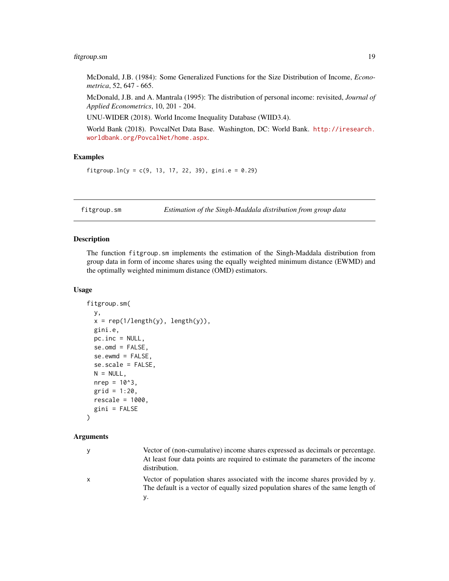#### <span id="page-18-0"></span>fitgroup.sm 19

McDonald, J.B. (1984): Some Generalized Functions for the Size Distribution of Income, *Econometrica*, 52, 647 - 665.

McDonald, J.B. and A. Mantrala (1995): The distribution of personal income: revisited, *Journal of Applied Econometrics*, 10, 201 - 204.

UNU-WIDER (2018). World Income Inequality Database (WIID3.4).

World Bank (2018). PovcalNet Data Base. Washington, DC: World Bank. [http://iresearch.](http://iresearch.worldbank.org/PovcalNet/home.aspx) [worldbank.org/PovcalNet/home.aspx](http://iresearch.worldbank.org/PovcalNet/home.aspx).

#### Examples

fitgroup.  $ln(y = c(9, 13, 17, 22, 39)$ , gini.e = 0.29)

<span id="page-18-1"></span>fitgroup.sm *Estimation of the Singh-Maddala distribution from group data*

#### Description

The function fitgroup.sm implements the estimation of the Singh-Maddala distribution from group data in form of income shares using the equally weighted minimum distance (EWMD) and the optimally weighted minimum distance (OMD) estimators.

#### Usage

```
fitgroup.sm(
  y,
  x = rep(1/length(y), length(y)),gini.e,
 pc.inc = NULL,se.omd = FALSE,
  se.ewmd = FALSE,
  se.scale = FALSE,
 N = NULL,
 nrep = 10^3,
  grid = 1:20,
 rescale = 1000,gini = FALSE
)
```
#### Arguments

| У | Vector of (non-cumulative) income shares expressed as decimals or percentage.<br>At least four data points are required to estimate the parameters of the income<br>distribution. |
|---|-----------------------------------------------------------------------------------------------------------------------------------------------------------------------------------|
| X | Vector of population shares associated with the income shares provided by $y$ .<br>The default is a vector of equally sized population shares of the same length of<br>ν.         |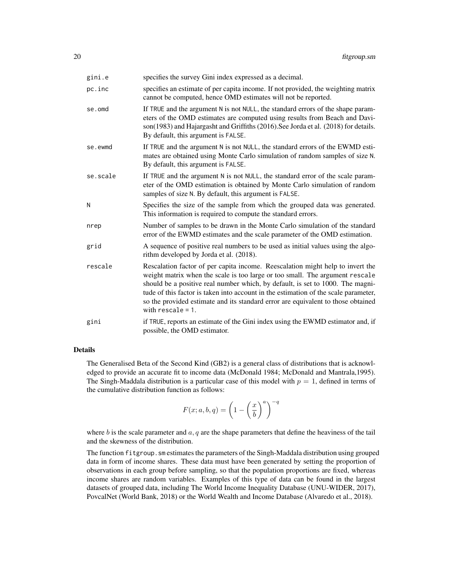| gini.e   | specifies the survey Gini index expressed as a decimal.                                                                                                                                                                                                                                                                                                                                                                                             |
|----------|-----------------------------------------------------------------------------------------------------------------------------------------------------------------------------------------------------------------------------------------------------------------------------------------------------------------------------------------------------------------------------------------------------------------------------------------------------|
| pc.inc   | specifies an estimate of per capita income. If not provided, the weighting matrix<br>cannot be computed, hence OMD estimates will not be reported.                                                                                                                                                                                                                                                                                                  |
| se.omd   | If TRUE and the argument N is not NULL, the standard errors of the shape param-<br>eters of the OMD estimates are computed using results from Beach and Davi-<br>son(1983) and Hajargasht and Griffiths (2016). See Jorda et al. (2018) for details.<br>By default, this argument is FALSE.                                                                                                                                                         |
| se.ewmd  | If TRUE and the argument N is not NULL, the standard errors of the EWMD esti-<br>mates are obtained using Monte Carlo simulation of random samples of size N.<br>By default, this argument is FALSE.                                                                                                                                                                                                                                                |
| se.scale | If TRUE and the argument N is not NULL, the standard error of the scale param-<br>eter of the OMD estimation is obtained by Monte Carlo simulation of random<br>samples of size N. By default, this argument is FALSE.                                                                                                                                                                                                                              |
| N        | Specifies the size of the sample from which the grouped data was generated.<br>This information is required to compute the standard errors.                                                                                                                                                                                                                                                                                                         |
| nrep     | Number of samples to be drawn in the Monte Carlo simulation of the standard<br>error of the EWMD estimates and the scale parameter of the OMD estimation.                                                                                                                                                                                                                                                                                           |
| grid     | A sequence of positive real numbers to be used as initial values using the algo-<br>rithm developed by Jorda et al. (2018).                                                                                                                                                                                                                                                                                                                         |
| rescale  | Rescalation factor of per capita income. Reescalation might help to invert the<br>weight matrix when the scale is too large or too small. The argument rescale<br>should be a positive real number which, by default, is set to 1000. The magni-<br>tude of this factor is taken into account in the estimation of the scale parameter,<br>so the provided estimate and its standard error are equivalent to those obtained<br>with $rescale = 1$ . |
| gini     | if TRUE, reports an estimate of the Gini index using the EWMD estimator and, if<br>possible, the OMD estimator.                                                                                                                                                                                                                                                                                                                                     |

The Generalised Beta of the Second Kind (GB2) is a general class of distributions that is acknowledged to provide an accurate fit to income data (McDonald 1984; McDonald and Mantrala,1995). The Singh-Maddala distribution is a particular case of this model with  $p = 1$ , defined in terms of the cumulative distribution function as follows:

$$
F(x;a,b,q) = \left(1 - \left(\frac{x}{b}\right)^a\right)^{-q}
$$

where b is the scale parameter and  $a, q$  are the shape parameters that define the heaviness of the tail and the skewness of the distribution.

The function fitgroup. sm estimates the parameters of the Singh-Maddala distribution using grouped data in form of income shares. These data must have been generated by setting the proportion of observations in each group before sampling, so that the population proportions are fixed, whereas income shares are random variables. Examples of this type of data can be found in the largest datasets of grouped data, including The World Income Inequality Database (UNU-WIDER, 2017), PovcalNet (World Bank, 2018) or the World Wealth and Income Database (Alvaredo et al., 2018).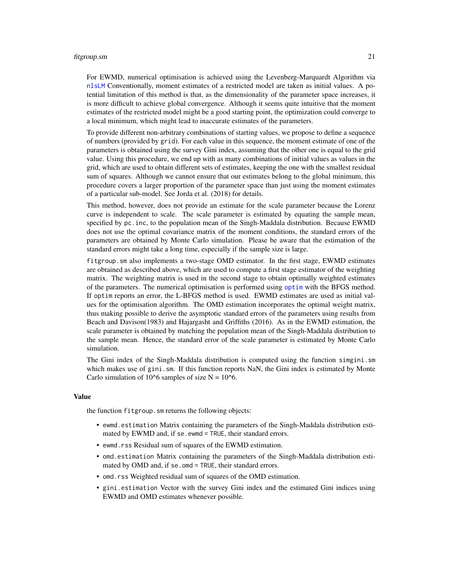#### <span id="page-20-0"></span>fitgroup.sm 21

For EWMD, numerical optimisation is achieved using the Levenberg-Marquardt Algorithm via [nlsLM](#page-0-0) Conventionally, moment estimates of a restricted model are taken as initial values. A potential limitation of this method is that, as the dimensionality of the parameter space increases, it is more difficult to achieve global convergence. Although it seems quite intuitive that the moment estimates of the restricted model might be a good starting point, the optimization could converge to a local minimum, which might lead to inaccurate estimates of the parameters.

To provide different non-arbitrary combinations of starting values, we propose to define a sequence of numbers (provided by grid). For each value in this sequence, the moment estimate of one of the parameters is obtained using the survey Gini index, assuming that the other one is equal to the grid value. Using this procedure, we end up with as many combinations of initial values as values in the grid, which are used to obtain different sets of estimates, keeping the one with the smallest residual sum of squares. Although we cannot ensure that our estimates belong to the global minimum, this procedure covers a larger proportion of the parameter space than just using the moment estimates of a particular sub-model. See Jorda et al. (2018) for details.

This method, however, does not provide an estimate for the scale parameter because the Lorenz curve is independent to scale. The scale parameter is estimated by equating the sample mean, specified by pc.inc, to the population mean of the Singh-Maddala distribution. Because EWMD does not use the optimal covariance matrix of the moment conditions, the standard errors of the parameters are obtained by Monte Carlo simulation. Please be aware that the estimation of the standard errors might take a long time, especially if the sample size is large.

fitgroup.sm also implements a two-stage OMD estimator. In the first stage, EWMD estimates are obtained as described above, which are used to compute a first stage estimator of the weighting matrix. The weighting matrix is used in the second stage to obtain optimally weighted estimates of the parameters. The numerical optimisation is performed using [optim](#page-0-0) with the BFGS method. If optim reports an error, the L-BFGS method is used. EWMD estimates are used as initial values for the optimisation algorithm. The OMD estimation incorporates the optimal weight matrix, thus making possible to derive the asymptotic standard errors of the parameters using results from Beach and Davison(1983) and Hajargasht and Griffiths (2016). As in the EWMD estimation, the scale parameter is obtained by matching the population mean of the Singh-Maddala distribution to the sample mean. Hence, the standard error of the scale parameter is estimated by Monte Carlo simulation.

The Gini index of the Singh-Maddala distribution is computed using the function simgini.sm which makes use of gini.sm. If this function reports NaN, the Gini index is estimated by Monte Carlo simulation of 10^6 samples of size  $N = 10^6$ .

#### Value

the function fitgroup.sm returns the following objects:

- ewmd.estimation Matrix containing the parameters of the Singh-Maddala distribution estimated by EWMD and, if se. ewmd = TRUE, their standard errors.
- ewmd.rss Residual sum of squares of the EWMD estimation.
- omd.estimation Matrix containing the parameters of the Singh-Maddala distribution estimated by OMD and, if se.omd = TRUE, their standard errors.
- omd.rss Weighted residual sum of squares of the OMD estimation.
- gini.estimation Vector with the survey Gini index and the estimated Gini indices using EWMD and OMD estimates whenever possible.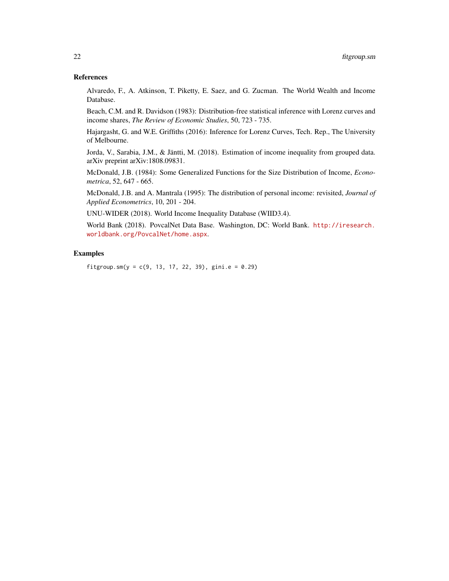#### References

Alvaredo, F., A. Atkinson, T. Piketty, E. Saez, and G. Zucman. The World Wealth and Income Database.

Beach, C.M. and R. Davidson (1983): Distribution-free statistical inference with Lorenz curves and income shares, *The Review of Economic Studies*, 50, 723 - 735.

Hajargasht, G. and W.E. Griffiths (2016): Inference for Lorenz Curves, Tech. Rep., The University of Melbourne.

Jorda, V., Sarabia, J.M., & Jäntti, M. (2018). Estimation of income inequality from grouped data. arXiv preprint arXiv:1808.09831.

McDonald, J.B. (1984): Some Generalized Functions for the Size Distribution of Income, *Econometrica*, 52, 647 - 665.

McDonald, J.B. and A. Mantrala (1995): The distribution of personal income: revisited, *Journal of Applied Econometrics*, 10, 201 - 204.

UNU-WIDER (2018). World Income Inequality Database (WIID3.4).

World Bank (2018). PovcalNet Data Base. Washington, DC: World Bank. [http://iresearch.](http://iresearch.worldbank.org/PovcalNet/home.aspx) [worldbank.org/PovcalNet/home.aspx](http://iresearch.worldbank.org/PovcalNet/home.aspx).

#### Examples

fitgroup.sm(y = c(9, 13, 17, 22, 39), gini.e =  $0.29$ )